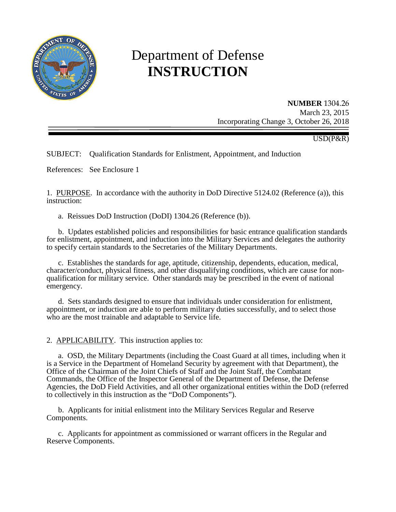

# Department of Defense **INSTRUCTION**

#### **NUMBER** 1304.26

March 23, 2015 Incorporating Change 3, October 26, 2018

USD(P&R)

SUBJECT: Qualification Standards for Enlistment, Appointment, and Induction

References: See Enclosure 1

1. PURPOSE. In accordance with the authority in DoD Directive 5124.02 (Reference (a)), this instruction:

a. Reissues DoD Instruction (DoDI) 1304.26 (Reference (b)).

 b. Updates established policies and responsibilities for basic entrance qualification standards for enlistment, appointment, and induction into the Military Services and delegates the authority to specify certain standards to the Secretaries of the Military Departments.

c. Establishes the standards for age, aptitude, citizenship, dependents, education, medical, character/conduct, physical fitness, and other disqualifying conditions, which are cause for nonqualification for military service. Other standards may be prescribed in the event of national emergency.

 d. Sets standards designed to ensure that individuals under consideration for enlistment, appointment, or induction are able to perform military duties successfully, and to select those who are the most trainable and adaptable to Service life.

2. APPLICABILITY. This instruction applies to:

a. OSD, the Military Departments (including the Coast Guard at all times, including when it is a Service in the Department of Homeland Security by agreement with that Department), the Office of the Chairman of the Joint Chiefs of Staff and the Joint Staff, the Combatant Commands, the Office of the Inspector General of the Department of Defense, the Defense Agencies, the DoD Field Activities, and all other organizational entities within the DoD (referred to collectively in this instruction as the "DoD Components").

 b. Applicants for initial enlistment into the Military Services Regular and Reserve Components.

 c. Applicants for appointment as commissioned or warrant officers in the Regular and Reserve Components.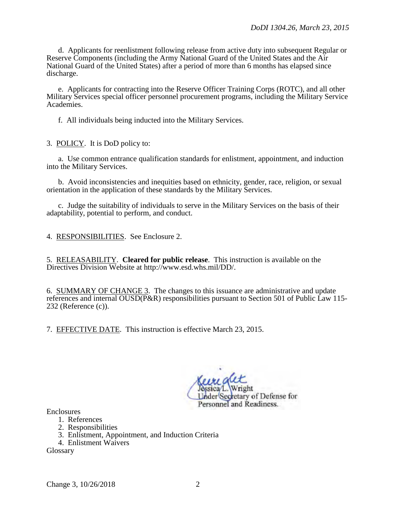d. Applicants for reenlistment following release from active duty into subsequent Regular or Reserve Components (including the Army National Guard of the United States and the Air National Guard of the United States) after a period of more than 6 months has elapsed since discharge.

 e. Applicants for contracting into the Reserve Officer Training Corps (ROTC), and all other Military Services special officer personnel procurement programs, including the Military Service Academies.

f. All individuals being inducted into the Military Services.

3. POLICY. It is DoD policy to:

a. Use common entrance qualification standards for enlistment, appointment, and induction into the Military Services.

 b. Avoid inconsistencies and inequities based on ethnicity, gender, race, religion, or sexual orientation in the application of these standards by the Military Services.

 c. Judge the suitability of individuals to serve in the Military Services on the basis of their adaptability, potential to perform, and conduct.

4. RESPONSIBILITIES. See Enclosure 2.

5. RELEASABILITY. **Cleared for public release**. This instruction is available on the Directives Division Website at http://www.esd.whs.mil/DD/.

6. SUMMARY OF CHANGE 3. The changes to this issuance are administrative and update references and internal OUSD(P&R) responsibilities pursuant to Section 501 of Public Law 115- 232 (Reference (c)).

7. EFFECTIVE DATE. This instruction is effective March 23, 2015.

der Secretary of Defense for Personnel and Readiness.

**Enclosures** 

- 1. References
- 2. Responsibilities
- 3. Enlistment, Appointment, and Induction Criteria
- 4. Enlistment Waivers

Glossary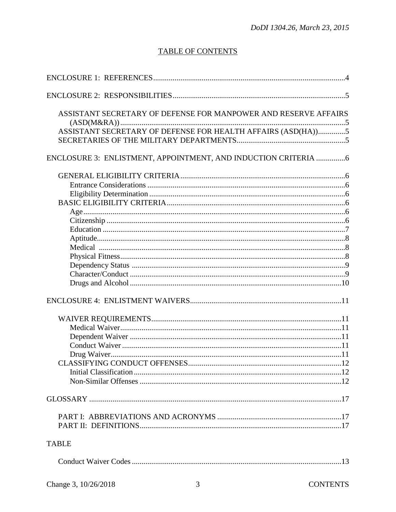# **TABLE OF CONTENTS**

| ASSISTANT SECRETARY OF DEFENSE FOR MANPOWER AND RESERVE AFFAIRS |
|-----------------------------------------------------------------|
| ASSISTANT SECRETARY OF DEFENSE FOR HEALTH AFFAIRS (ASD(HA))5    |
|                                                                 |
| ENCLOSURE 3: ENLISTMENT, APPOINTMENT, AND INDUCTION CRITERIA 6  |
|                                                                 |
|                                                                 |
|                                                                 |
|                                                                 |
|                                                                 |
|                                                                 |
|                                                                 |
|                                                                 |
|                                                                 |
|                                                                 |
|                                                                 |
|                                                                 |
|                                                                 |
|                                                                 |
|                                                                 |
|                                                                 |
|                                                                 |
|                                                                 |
|                                                                 |
|                                                                 |
|                                                                 |
|                                                                 |
|                                                                 |
|                                                                 |
|                                                                 |
| <b>TABLE</b>                                                    |
|                                                                 |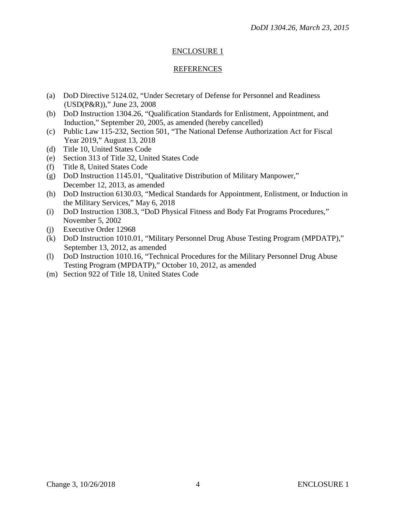#### REFERENCES

- (a) DoD Directive 5124.02, "Under Secretary of Defense for Personnel and Readiness (USD(P&R))," June 23, 2008
- (b) DoD Instruction 1304.26, "Qualification Standards for Enlistment, Appointment, and Induction," September 20, 2005, as amended (hereby cancelled)
- (c) Public Law 115-232, Section 501, "The National Defense Authorization Act for Fiscal Year 2019," August 13, 2018
- (d) Title 10, United States Code
- (e) Section 313 of Title 32, United States Code
- (f) Title 8, United States Code
- (g) [DoD Instruction 1145.01, "](https://dps.whs.mil/pr_org/share/AP/Actions%20Drogo/Forms%20and%20Pubs/pdf2/d11451p.pdf)Qualitative Distribution of Military Manpower," December 12, 2013, as amended
- (h) [DoD Instruction 6130.03, "](https://dps.whs.mil/pr_org/share/AP/Actions%20Drogo/Forms%20and%20Pubs/pdf2/d61303p.pdf)Medical Standards for Appointment, Enlistment, or Induction in the Military Services," May 6, 2018
- (i) DoD Instruction 1308.3, "DoD Physical Fitness and Body Fat Programs Procedures," November 5, 2002
- (j) Executive Order 12968
- (k) DoD Instruction 1010.01, "Military Personnel Drug Abuse Testing Program (MPDATP)," September 13, 2012, as amended
- (l) DoD Instruction 1010.16, "Technical Procedures for the Military Personnel Drug Abuse Testing Program (MPDATP)," October 10, 2012, as amended
- (m) Section 922 of Title 18, United States Code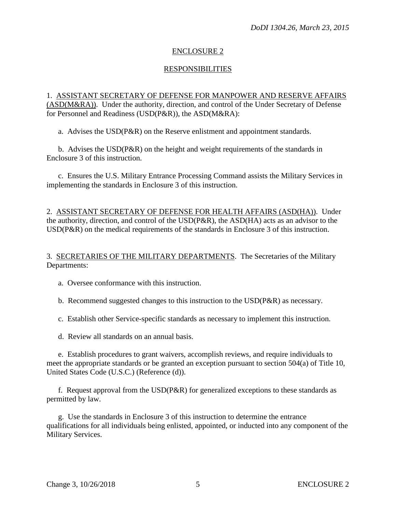## **RESPONSIBILITIES**

1. ASSISTANT SECRETARY OF DEFENSE FOR MANPOWER AND RESERVE AFFAIRS (ASD(M&RA)). Under the authority, direction, and control of the Under Secretary of Defense for Personnel and Readiness (USD(P&R)), the ASD(M&RA):

a. Advises the USD(P&R) on the Reserve enlistment and appointment standards.

 b. Advises the USD(P&R) on the height and weight requirements of the standards in Enclosure 3 of this instruction.

c. Ensures the U.S. Military Entrance Processing Command assists the Military Services in implementing the standards in Enclosure 3 of this instruction.

2. ASSISTANT SECRETARY OF DEFENSE FOR HEALTH AFFAIRS (ASD(HA)). Under the authority, direction, and control of the USD(P&R), the ASD(HA) acts as an advisor to the USD(P&R) on the medical requirements of the standards in Enclosure 3 of this instruction.

#### 3. SECRETARIES OF THE MILITARY DEPARTMENTS. The Secretaries of the Military Departments:

- a. Oversee conformance with this instruction.
- b. Recommend suggested changes to this instruction to the USD(P&R) as necessary.
- c. Establish other Service-specific standards as necessary to implement this instruction.
- d. Review all standards on an annual basis.

e. Establish procedures to grant waivers, accomplish reviews, and require individuals to meet the appropriate standards or be granted an exception pursuant to section 504(a) of Title 10, United States Code (U.S.C.) (Reference (d)).

f. Request approval from the USD(P&R) for generalized exceptions to these standards as permitted by law.

g. Use the standards in Enclosure 3 of this instruction to determine the entrance qualifications for all individuals being enlisted, appointed, or inducted into any component of the Military Services.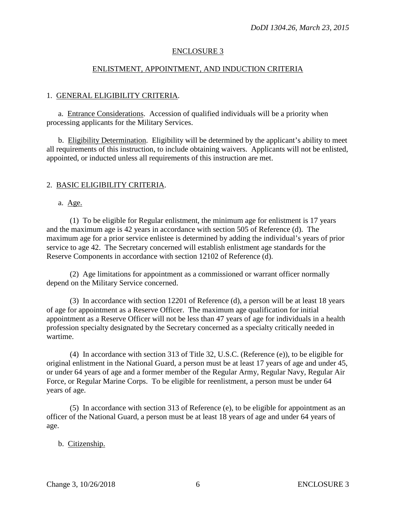#### ENLISTMENT, APPOINTMENT, AND INDUCTION CRITERIA

#### 1. GENERAL ELIGIBILITY CRITERIA.

a. Entrance Considerations. Accession of qualified individuals will be a priority when processing applicants for the Military Services.

 b. Eligibility Determination. Eligibility will be determined by the applicant's ability to meet all requirements of this instruction, to include obtaining waivers. Applicants will not be enlisted, appointed, or inducted unless all requirements of this instruction are met.

#### 2. BASIC ELIGIBILITY CRITERIA.

#### a. Age.

 (1) To be eligible for Regular enlistment, the minimum age for enlistment is 17 years and the maximum age is 42 years in accordance with section 505 of Reference (d). The maximum age for a prior service enlistee is determined by adding the individual's years of prior service to age 42. The Secretary concerned will establish enlistment age standards for the Reserve Components in accordance with section 12102 of Reference (d).

 (2) Age limitations for appointment as a commissioned or warrant officer normally depend on the Military Service concerned.

 (3) In accordance with section 12201 of Reference (d), a person will be at least 18 years of age for appointment as a Reserve Officer. The maximum age qualification for initial appointment as a Reserve Officer will not be less than 47 years of age for individuals in a health profession specialty designated by the Secretary concerned as a specialty critically needed in wartime.

 (4) In accordance with section 313 of Title 32, U.S.C. (Reference (e)), to be eligible for original enlistment in the National Guard, a person must be at least 17 years of age and under 45, or under 64 years of age and a former member of the Regular Army, Regular Navy, Regular Air Force, or Regular Marine Corps. To be eligible for reenlistment, a person must be under 64 years of age.

 (5) In accordance with section 313 of Reference (e), to be eligible for appointment as an officer of the National Guard, a person must be at least 18 years of age and under 64 years of age.

## b. Citizenship.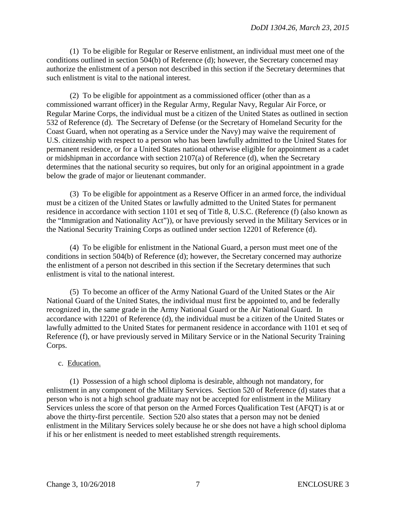(1) To be eligible for Regular or Reserve enlistment, an individual must meet one of the conditions outlined in section 504(b) of Reference (d); however, the Secretary concerned may authorize the enlistment of a person not described in this section if the Secretary determines that such enlistment is vital to the national interest.

 (2) To be eligible for appointment as a commissioned officer (other than as a commissioned warrant officer) in the Regular Army, Regular Navy, Regular Air Force, or Regular Marine Corps, the individual must be a citizen of the United States as outlined in section 532 of Reference (d). The Secretary of Defense (or the Secretary of Homeland Security for the Coast Guard, when not operating as a Service under the Navy) may waive the requirement of U.S. citizenship with respect to a person who has been lawfully admitted to the United States for permanent residence, or for a United States national otherwise eligible for appointment as a cadet or midshipman in accordance with section 2107(a) of Reference (d), when the Secretary determines that the national security so requires, but only for an original appointment in a grade below the grade of major or lieutenant commander.

 (3) To be eligible for appointment as a Reserve Officer in an armed force, the individual must be a citizen of the United States or lawfully admitted to the United States for permanent residence in accordance with section 1101 et seq of Title 8, U.S.C. (Reference (f) (also known as the "Immigration and Nationality Act")), or have previously served in the Military Services or in the National Security Training Corps as outlined under section 12201 of Reference (d).

 (4) To be eligible for enlistment in the National Guard, a person must meet one of the conditions in section 504(b) of Reference (d); however, the Secretary concerned may authorize the enlistment of a person not described in this section if the Secretary determines that such enlistment is vital to the national interest.

 (5) To become an officer of the Army National Guard of the United States or the Air National Guard of the United States, the individual must first be appointed to, and be federally recognized in, the same grade in the Army National Guard or the Air National Guard. In accordance with 12201 of Reference (d), the individual must be a citizen of the United States or lawfully admitted to the United States for permanent residence in accordance with 1101 et seq of Reference (f), or have previously served in Military Service or in the National Security Training Corps.

## c. Education.

 (1) Possession of a high school diploma is desirable, although not mandatory, for enlistment in any component of the Military Services. Section 520 of Reference (d) states that a person who is not a high school graduate may not be accepted for enlistment in the Military Services unless the score of that person on the Armed Forces Qualification Test (AFQT) is at or above the thirty-first percentile. Section 520 also states that a person may not be denied enlistment in the Military Services solely because he or she does not have a high school diploma if his or her enlistment is needed to meet established strength requirements.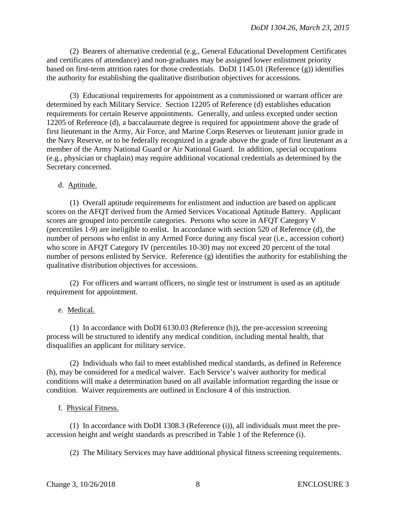(2) Bearers of alternative credential (e.g., General Educational Development Certificates and certificates of attendance) and non-graduates may be assigned lower enlistment priority based on first-term attrition rates for those credentials. DoDI 1145.01 (Reference (g)) identifies the authority for establishing the qualitative distribution objectives for accessions.

 (3) Educational requirements for appointment as a commissioned or warrant officer are determined by each Military Service. Section 12205 of Reference (d) establishes education requirements for certain Reserve appointments. Generally, and unless excepted under section 12205 of Reference (d), a baccalaureate degree is required for appointment above the grade of first lieutenant in the Army, Air Force, and Marine Corps Reserves or lieutenant junior grade in the Navy Reserve, or to be federally recognized in a grade above the grade of first lieutenant as a member of the Army National Guard or Air National Guard. In addition, special occupations (e.g., physician or chaplain) may require additional vocational credentials as determined by the Secretary concerned.

## d. Aptitude.

 (1) Overall aptitude requirements for enlistment and induction are based on applicant scores on the AFQT derived from the Armed Services Vocational Aptitude Battery. Applicant scores are grouped into percentile categories. Persons who score in AFQT Category V (percentiles 1-9) are ineligible to enlist. In accordance with section 520 of Reference (d), the number of persons who enlist in any Armed Force during any fiscal year (i.e., accession cohort) who score in AFQT Category IV (percentiles 10-30) may not exceed 20 percent of the total number of persons enlisted by Service. Reference (g) identifies the authority for establishing the qualitative distribution objectives for accessions.

 (2) For officers and warrant officers, no single test or instrument is used as an aptitude requirement for appointment.

## e. Medical.

 (1) In accordance with DoDI 6130.03 (Reference (h)), the pre-accession screening process will be structured to identify any medical condition, including mental health, that disqualifies an applicant for military service.

 (2) Individuals who fail to meet established medical standards, as defined in Reference (h), may be considered for a medical waiver. Each Service's waiver authority for medical conditions will make a determination based on all available information regarding the issue or condition. Waiver requirements are outlined in Enclosure 4 of this instruction.

## f. Physical Fitness.

 (1) In accordance with DoDI 1308.3 (Reference (i)), all individuals must meet the preaccession height and weight standards as prescribed in Table 1 of the Reference (i).

(2) The Military Services may have additional physical fitness screening requirements.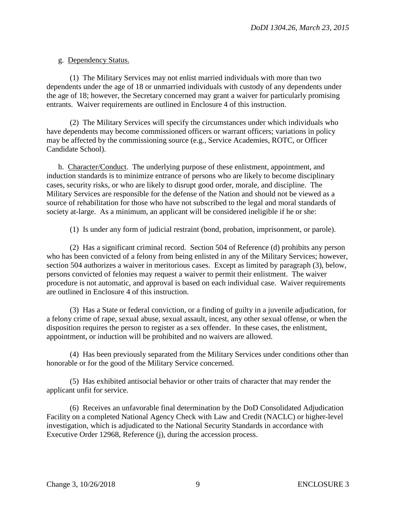## g. Dependency Status.

 (1) The Military Services may not enlist married individuals with more than two dependents under the age of 18 or unmarried individuals with custody of any dependents under the age of 18; however, the Secretary concerned may grant a waiver for particularly promising entrants. Waiver requirements are outlined in Enclosure 4 of this instruction.

 (2) The Military Services will specify the circumstances under which individuals who have dependents may become commissioned officers or warrant officers; variations in policy may be affected by the commissioning source (e.g., Service Academies, ROTC, or Officer Candidate School).

h. Character/Conduct. The underlying purpose of these enlistment, appointment, and induction standards is to minimize entrance of persons who are likely to become disciplinary cases, security risks, or who are likely to disrupt good order, morale, and discipline. The Military Services are responsible for the defense of the Nation and should not be viewed as a source of rehabilitation for those who have not subscribed to the legal and moral standards of society at-large. As a minimum, an applicant will be considered ineligible if he or she:

(1) Is under any form of judicial restraint (bond, probation, imprisonment, or parole).

 (2) Has a significant criminal record. Section 504 of Reference (d) prohibits any person who has been convicted of a felony from being enlisted in any of the Military Services; however, section 504 authorizes a waiver in meritorious cases. Except as limited by paragraph (3), below, persons convicted of felonies may request a waiver to permit their enlistment. The waiver procedure is not automatic, and approval is based on each individual case. Waiver requirements are outlined in Enclosure 4 of this instruction.

 (3) Has a State or federal conviction, or a finding of guilty in a juvenile adjudication, for a felony crime of rape, sexual abuse, sexual assault, incest, any other sexual offense, or when the disposition requires the person to register as a sex offender. In these cases, the enlistment, appointment, or induction will be prohibited and no waivers are allowed.

 (4) Has been previously separated from the Military Services under conditions other than honorable or for the good of the Military Service concerned.

 (5) Has exhibited antisocial behavior or other traits of character that may render the applicant unfit for service.

 (6) Receives an unfavorable final determination by the DoD Consolidated Adjudication Facility on a completed National Agency Check with Law and Credit (NACLC) or higher-level investigation, which is adjudicated to the National Security Standards in accordance with Executive Order 12968, Reference (j), during the accession process.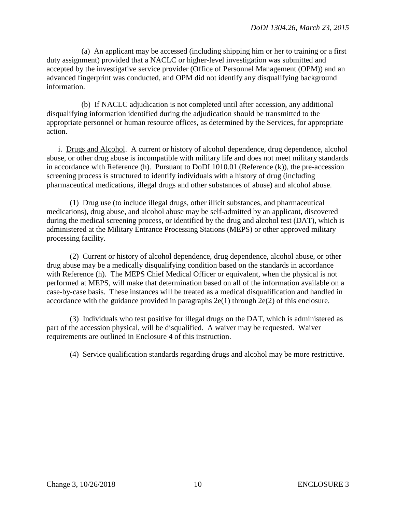(a) An applicant may be accessed (including shipping him or her to training or a first duty assignment) provided that a NACLC or higher-level investigation was submitted and accepted by the investigative service provider (Office of Personnel Management (OPM)) and an advanced fingerprint was conducted, and OPM did not identify any disqualifying background information.

 (b) If NACLC adjudication is not completed until after accession, any additional disqualifying information identified during the adjudication should be transmitted to the appropriate personnel or human resource offices, as determined by the Services, for appropriate action.

 i. Drugs and Alcohol. A current or history of alcohol dependence, drug dependence, alcohol abuse, or other drug abuse is incompatible with military life and does not meet military standards in accordance with Reference (h). Pursuant to DoDI 1010.01 (Reference (k)), the pre-accession screening process is structured to identify individuals with a history of drug (including pharmaceutical medications, illegal drugs and other substances of abuse) and alcohol abuse.

 (1) Drug use (to include illegal drugs, other illicit substances, and pharmaceutical medications), drug abuse, and alcohol abuse may be self-admitted by an applicant, discovered during the medical screening process, or identified by the drug and alcohol test (DAT), which is administered at the Military Entrance Processing Stations (MEPS) or other approved military processing facility.

 (2) Current or history of alcohol dependence, drug dependence, alcohol abuse, or other drug abuse may be a medically disqualifying condition based on the standards in accordance with Reference (h). The MEPS Chief Medical Officer or equivalent, when the physical is not performed at MEPS, will make that determination based on all of the information available on a case-by-case basis. These instances will be treated as a medical disqualification and handled in accordance with the guidance provided in paragraphs  $2e(1)$  through  $2e(2)$  of this enclosure.

 (3) Individuals who test positive for illegal drugs on the DAT, which is administered as part of the accession physical, will be disqualified. A waiver may be requested. Waiver requirements are outlined in Enclosure 4 of this instruction.

(4) Service qualification standards regarding drugs and alcohol may be more restrictive.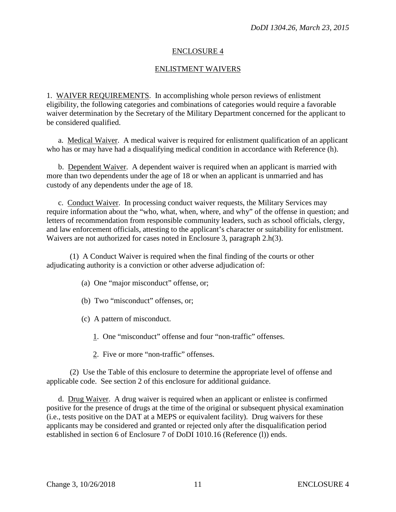#### ENLISTMENT WAIVERS

1. WAIVER REQUIREMENTS. In accomplishing whole person reviews of enlistment eligibility, the following categories and combinations of categories would require a favorable waiver determination by the Secretary of the Military Department concerned for the applicant to be considered qualified.

a. Medical Waiver. A medical waiver is required for enlistment qualification of an applicant who has or may have had a disqualifying medical condition in accordance with Reference (h).

 b. Dependent Waiver. A dependent waiver is required when an applicant is married with more than two dependents under the age of 18 or when an applicant is unmarried and has custody of any dependents under the age of 18.

c. Conduct Waiver. In processing conduct waiver requests, the Military Services may require information about the "who, what, when, where, and why" of the offense in question; and letters of recommendation from responsible community leaders, such as school officials, clergy, and law enforcement officials, attesting to the applicant's character or suitability for enlistment. Waivers are not authorized for cases noted in Enclosure 3, paragraph 2.h(3).

 (1) A Conduct Waiver is required when the final finding of the courts or other adjudicating authority is a conviction or other adverse adjudication of:

- (a) One "major misconduct" offense, or;
- (b) Two "misconduct" offenses, or;
- (c) A pattern of misconduct.
	- 1. One "misconduct" offense and four "non-traffic" offenses.
	- 2. Five or more "non-traffic" offenses.

 (2) Use the Table of this enclosure to determine the appropriate level of offense and applicable code. See section 2 of this enclosure for additional guidance.

 d. Drug Waiver. A drug waiver is required when an applicant or enlistee is confirmed positive for the presence of drugs at the time of the original or subsequent physical examination (i.e., tests positive on the DAT at a MEPS or equivalent facility). Drug waivers for these applicants may be considered and granted or rejected only after the disqualification period established in section 6 of Enclosure 7 of DoDI 1010.16 (Reference (l)) ends.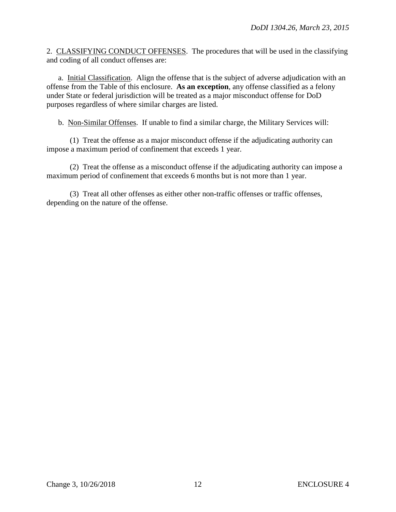2. CLASSIFYING CONDUCT OFFENSES. The procedures that will be used in the classifying and coding of all conduct offenses are:

a. Initial Classification. Align the offense that is the subject of adverse adjudication with an offense from the Table of this enclosure. **As an exception**, any offense classified as a felony under State or federal jurisdiction will be treated as a major misconduct offense for DoD purposes regardless of where similar charges are listed.

b. Non-Similar Offenses. If unable to find a similar charge, the Military Services will:

 (1) Treat the offense as a major misconduct offense if the adjudicating authority can impose a maximum period of confinement that exceeds 1 year.

 (2) Treat the offense as a misconduct offense if the adjudicating authority can impose a maximum period of confinement that exceeds 6 months but is not more than 1 year.

 (3) Treat all other offenses as either other non-traffic offenses or traffic offenses, depending on the nature of the offense.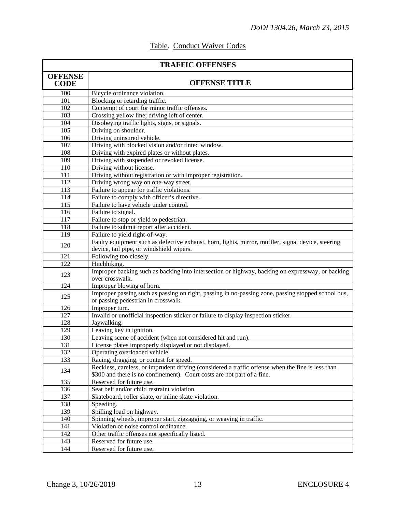| <b>TRAFFIC OFFENSES</b>       |                                                                                                                                                                              |  |
|-------------------------------|------------------------------------------------------------------------------------------------------------------------------------------------------------------------------|--|
| <b>OFFENSE</b><br><b>CODE</b> | <b>OFFENSE TITLE</b>                                                                                                                                                         |  |
| 100                           | Bicycle ordinance violation.                                                                                                                                                 |  |
| 101                           | Blocking or retarding traffic.                                                                                                                                               |  |
| 102                           | Contempt of court for minor traffic offenses.                                                                                                                                |  |
| 103                           | Crossing yellow line; driving left of center.                                                                                                                                |  |
| 104                           | Disobeying traffic lights, signs, or signals.                                                                                                                                |  |
| 105                           | Driving on shoulder.                                                                                                                                                         |  |
| 106                           | Driving uninsured vehicle.                                                                                                                                                   |  |
| 107                           | Driving with blocked vision and/or tinted window.                                                                                                                            |  |
| 108                           | Driving with expired plates or without plates.                                                                                                                               |  |
| 109                           | Driving with suspended or revoked license.                                                                                                                                   |  |
| 110                           | Driving without license.                                                                                                                                                     |  |
| 111                           | Driving without registration or with improper registration.                                                                                                                  |  |
| 112                           | Driving wrong way on one-way street.                                                                                                                                         |  |
| 113                           | Failure to appear for traffic violations.                                                                                                                                    |  |
| 114                           | Failure to comply with officer's directive.                                                                                                                                  |  |
| 115                           | Failure to have vehicle under control.                                                                                                                                       |  |
| 116                           | Failure to signal.                                                                                                                                                           |  |
| 117                           | Failure to stop or yield to pedestrian.                                                                                                                                      |  |
| 118                           | Failure to submit report after accident.                                                                                                                                     |  |
| 119                           | Failure to yield right-of-way.                                                                                                                                               |  |
| 120                           | Faulty equipment such as defective exhaust, horn, lights, mirror, muffler, signal device, steering<br>device, tail pipe, or windshield wipers.                               |  |
| 121                           | Following too closely.                                                                                                                                                       |  |
| 122                           | Hitchhiking.                                                                                                                                                                 |  |
| 123                           | Improper backing such as backing into intersection or highway, backing on expressway, or backing<br>over crosswalk.                                                          |  |
| 124                           | Improper blowing of horn.                                                                                                                                                    |  |
| 125                           | Improper passing such as passing on right, passing in no-passing zone, passing stopped school bus,<br>or passing pedestrian in crosswalk.                                    |  |
| 126                           | Improper turn.                                                                                                                                                               |  |
| 127                           | Invalid or unofficial inspection sticker or failure to display inspection sticker.                                                                                           |  |
| 128                           | Jaywalking.                                                                                                                                                                  |  |
| 129                           | Leaving key in ignition.                                                                                                                                                     |  |
| 130                           | Leaving scene of accident (when not considered hit and run).                                                                                                                 |  |
| 131                           | License plates improperly displayed or not displayed.                                                                                                                        |  |
| 132                           | Operating overloaded vehicle.                                                                                                                                                |  |
| 133                           | Racing, dragging, or contest for speed.                                                                                                                                      |  |
| 134                           | Reckless, careless, or imprudent driving (considered a traffic offense when the fine is less than<br>\$300 and there is no confinement). Court costs are not part of a fine. |  |
| 135                           | Reserved for future use.                                                                                                                                                     |  |
| 136                           | Seat belt and/or child restraint violation.                                                                                                                                  |  |
| 137                           | Skateboard, roller skate, or inline skate violation.                                                                                                                         |  |
| 138                           | Speeding.                                                                                                                                                                    |  |
| 139                           | Spilling load on highway.                                                                                                                                                    |  |
| 140                           | Spinning wheels, improper start, zigzagging, or weaving in traffic.                                                                                                          |  |
| 141                           | Violation of noise control ordinance.                                                                                                                                        |  |
| 142                           | Other traffic offenses not specifically listed.                                                                                                                              |  |
| 143                           | Reserved for future use.                                                                                                                                                     |  |
| 144                           | Reserved for future use.                                                                                                                                                     |  |

# Table. Conduct Waiver Codes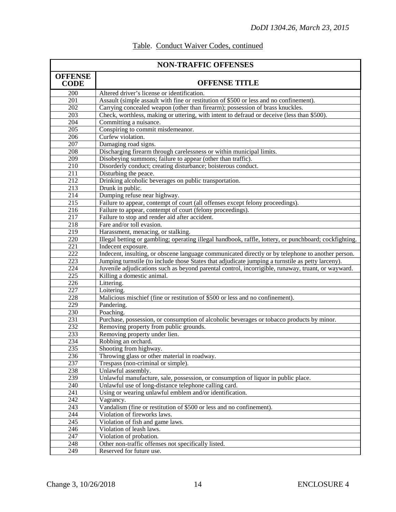| <b>NON-TRAFFIC OFFENSES</b>          |                                                                                                        |  |
|--------------------------------------|--------------------------------------------------------------------------------------------------------|--|
| <b>OFFENSE</b><br><b>CODE</b>        | <b>OFFENSE TITLE</b>                                                                                   |  |
| 200                                  | Altered driver's license or identification.                                                            |  |
| $\overline{201}$                     | Assault (simple assault with fine or restitution of \$500 or less and no confinement).                 |  |
| 202                                  | Carrying concealed weapon (other than firearm); possession of brass knuckles.                          |  |
| 203                                  | Check, worthless, making or uttering, with intent to defraud or deceive (less than \$500).             |  |
| 204                                  | Committing a nuisance.                                                                                 |  |
| $\overline{205}$                     | Conspiring to commit misdemeanor.                                                                      |  |
| 206                                  | Curfew violation.                                                                                      |  |
| 207                                  | Damaging road signs.                                                                                   |  |
| 208                                  | Discharging firearm through carelessness or within municipal limits.                                   |  |
| 209                                  | Disobeying summons; failure to appear (other than traffic).                                            |  |
| 210                                  | Disorderly conduct; creating disturbance; boisterous conduct.                                          |  |
| 211                                  | Disturbing the peace.                                                                                  |  |
| 212                                  | Drinking alcoholic beverages on public transportation.                                                 |  |
| 213                                  | Drunk in public.                                                                                       |  |
| 214                                  | Dumping refuse near highway.                                                                           |  |
| 215                                  | Failure to appear, contempt of court (all offenses except felony proceedings).                         |  |
| 216                                  | Failure to appear, contempt of court (felony proceedings).                                             |  |
| 217                                  | Failure to stop and render aid after accident.                                                         |  |
| 218                                  | Fare and/or toll evasion.                                                                              |  |
| 219                                  | Harassment, menacing, or stalking.                                                                     |  |
| $\overline{220}$                     | Illegal betting or gambling; operating illegal handbook, raffle, lottery, or punchboard; cockfighting. |  |
| $\overline{221}$                     | Indecent exposure.                                                                                     |  |
| 222                                  | Indecent, insulting, or obscene language communicated directly or by telephone to another person.      |  |
| 223                                  | Jumping turnstile (to include those States that adjudicate jumping a turnstile as petty larceny).      |  |
| 224                                  | Juvenile adjudications such as beyond parental control, incorrigible, runaway, truant, or wayward.     |  |
| $\overline{225}$<br>$\overline{226}$ | Killing a domestic animal.                                                                             |  |
| 227                                  | Littering.                                                                                             |  |
| 228                                  | Loitering.<br>Malicious mischief (fine or restitution of \$500 or less and no confinement).            |  |
| 229                                  | Pandering.                                                                                             |  |
| 230                                  | Poaching.                                                                                              |  |
| 231                                  | Purchase, possession, or consumption of alcoholic beverages or tobacco products by minor.              |  |
| 232                                  | Removing property from public grounds.                                                                 |  |
| 233                                  | Removing property under lien.                                                                          |  |
| 234                                  | Robbing an orchard.                                                                                    |  |
| 235                                  | Shooting from highway.                                                                                 |  |
| 236                                  | Throwing glass or other material in roadway.                                                           |  |
| 237                                  | Trespass (non-criminal or simple).                                                                     |  |
| 238                                  | Unlawful assembly.                                                                                     |  |
| 239                                  | Unlawful manufacture, sale, possession, or consumption of liquor in public place.                      |  |
| 240                                  | Unlawful use of long-distance telephone calling card.                                                  |  |
| 241                                  | Using or wearing unlawful emblem and/or identification.                                                |  |
| 242                                  | Vagrancy.                                                                                              |  |
| 243                                  | Vandalism (fine or restitution of \$500 or less and no confinement).                                   |  |
| $\overline{244}$                     | Violation of fireworks laws.                                                                           |  |
| 245                                  | Violation of fish and game laws.                                                                       |  |
| 246                                  | Violation of leash laws.                                                                               |  |
| 247                                  | Violation of probation.                                                                                |  |
| 248                                  | Other non-traffic offenses not specifically listed.                                                    |  |
| 249                                  | Reserved for future use.                                                                               |  |

# Table. Conduct Waiver Codes, continued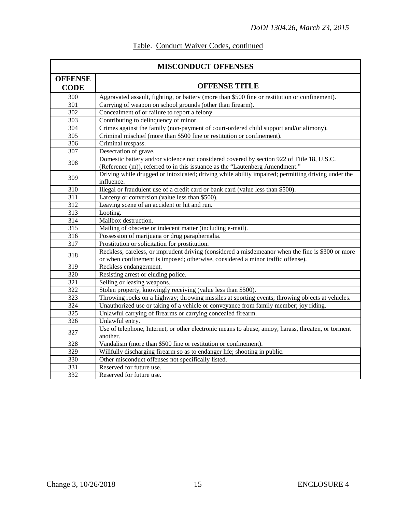| <b>MISCONDUCT OFFENSES</b>    |                                                                                                                                                                                      |  |
|-------------------------------|--------------------------------------------------------------------------------------------------------------------------------------------------------------------------------------|--|
| <b>OFFENSE</b><br><b>CODE</b> | <b>OFFENSE TITLE</b>                                                                                                                                                                 |  |
| 300                           | Aggravated assault, fighting, or battery (more than \$500 fine or restitution or confinement).                                                                                       |  |
| 301                           | Carrying of weapon on school grounds (other than firearm).                                                                                                                           |  |
| 302                           | Concealment of or failure to report a felony.                                                                                                                                        |  |
| $\overline{303}$              | Contributing to delinquency of minor.                                                                                                                                                |  |
| 304                           | Crimes against the family (non-payment of court-ordered child support and/or alimony).                                                                                               |  |
| 305                           | Criminal mischief (more than \$500 fine or restitution or confinement).                                                                                                              |  |
| 306                           | Criminal trespass.                                                                                                                                                                   |  |
| 307                           | Desecration of grave.                                                                                                                                                                |  |
| 308                           | Domestic battery and/or violence not considered covered by section 922 of Title 18, U.S.C.<br>(Reference (m)), referred to in this issuance as the "Lautenberg Amendment."           |  |
| 309                           | Driving while drugged or intoxicated; driving while ability impaired; permitting driving under the<br>influence.                                                                     |  |
| 310                           | Illegal or fraudulent use of a credit card or bank card (value less than \$500).                                                                                                     |  |
| $\overline{311}$              | Larceny or conversion (value less than \$500).                                                                                                                                       |  |
| 312                           | Leaving scene of an accident or hit and run.                                                                                                                                         |  |
| 313                           | Looting.                                                                                                                                                                             |  |
| $\overline{314}$              | Mailbox destruction.                                                                                                                                                                 |  |
| $\overline{315}$              | Mailing of obscene or indecent matter (including e-mail).                                                                                                                            |  |
| 316                           | Possession of marijuana or drug paraphernalia.                                                                                                                                       |  |
| 317                           | Prostitution or solicitation for prostitution.                                                                                                                                       |  |
| 318                           | Reckless, careless, or imprudent driving (considered a misdemeanor when the fine is \$300 or more<br>or when confinement is imposed; otherwise, considered a minor traffic offense). |  |
| 319                           | Reckless endangerment.                                                                                                                                                               |  |
| 320                           | Resisting arrest or eluding police.                                                                                                                                                  |  |
| 321                           | Selling or leasing weapons.                                                                                                                                                          |  |
| 322                           | Stolen property, knowingly receiving (value less than \$500).                                                                                                                        |  |
| 323                           | Throwing rocks on a highway; throwing missiles at sporting events; throwing objects at vehicles.                                                                                     |  |
| 324                           | Unauthorized use or taking of a vehicle or conveyance from family member; joy riding.                                                                                                |  |
| 325                           | Unlawful carrying of firearms or carrying concealed firearm.                                                                                                                         |  |
| 326                           | Unlawful entry.                                                                                                                                                                      |  |
| 327                           | Use of telephone, Internet, or other electronic means to abuse, annoy, harass, threaten, or torment<br>another.                                                                      |  |
| 328                           | Vandalism (more than \$500 fine or restitution or confinement).                                                                                                                      |  |
| $\frac{1}{329}$               | Willfully discharging firearm so as to endanger life; shooting in public.                                                                                                            |  |
| 330                           | Other misconduct offenses not specifically listed.                                                                                                                                   |  |
| 331                           | Reserved for future use.                                                                                                                                                             |  |
| 332                           | Reserved for future use.                                                                                                                                                             |  |

# Table. Conduct Waiver Codes, continued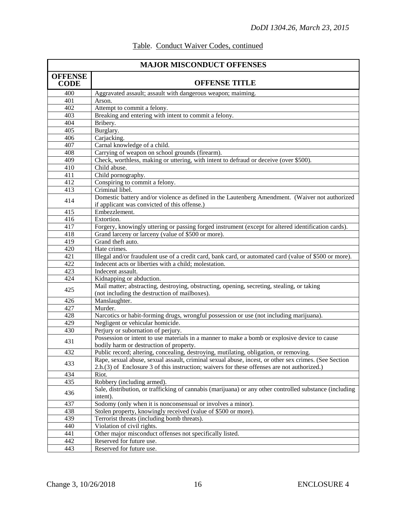| <b>MAJOR MISCONDUCT OFFENSES</b> |                                                                                                                                                 |  |
|----------------------------------|-------------------------------------------------------------------------------------------------------------------------------------------------|--|
| <b>OFFENSE</b><br><b>CODE</b>    | <b>OFFENSE TITLE</b>                                                                                                                            |  |
| 400                              | Aggravated assault; assault with dangerous weapon; maiming.                                                                                     |  |
| 401                              | Arson.                                                                                                                                          |  |
| 402                              | Attempt to commit a felony.                                                                                                                     |  |
| 403                              | Breaking and entering with intent to commit a felony.                                                                                           |  |
| 404                              | Bribery.                                                                                                                                        |  |
| 405                              | Burglary.                                                                                                                                       |  |
| 406                              | Carjacking.                                                                                                                                     |  |
| 407                              | Carnal knowledge of a child.                                                                                                                    |  |
| 408                              | Carrying of weapon on school grounds (firearm).                                                                                                 |  |
| 409                              | Check, worthless, making or uttering, with intent to defraud or deceive (over \$500).                                                           |  |
| 410                              | Child abuse.                                                                                                                                    |  |
| 411                              | Child pornography.                                                                                                                              |  |
| $\overline{412}$                 | Conspiring to commit a felony.                                                                                                                  |  |
| 413                              | Criminal libel.                                                                                                                                 |  |
| 414                              | Domestic battery and/or violence as defined in the Lautenberg Amendment. (Waiver not authorized<br>if applicant was convicted of this offense.) |  |
| 415                              | Embezzlement.                                                                                                                                   |  |
| 416                              | Extortion.                                                                                                                                      |  |
| 417                              | Forgery, knowingly uttering or passing forged instrument (except for altered identification cards).                                             |  |
| 418                              | Grand larceny or larceny (value of \$500 or more).                                                                                              |  |
| 419                              | Grand theft auto.                                                                                                                               |  |
| 420                              | Hate crimes.                                                                                                                                    |  |
| 421                              | Illegal and/or fraudulent use of a credit card, bank card, or automated card (value of \$500 or more).                                          |  |
| 422                              | Indecent acts or liberties with a child; molestation.                                                                                           |  |
| 423                              | Indecent assault.                                                                                                                               |  |
| 424                              | Kidnapping or abduction.                                                                                                                        |  |
|                                  | Mail matter; abstracting, destroying, obstructing, opening, secreting, stealing, or taking                                                      |  |
| 425                              | (not including the destruction of mailboxes).                                                                                                   |  |
| 426                              | Manslaughter.                                                                                                                                   |  |
| 427                              | Murder.                                                                                                                                         |  |
| 428                              | Narcotics or habit-forming drugs, wrongful possession or use (not including marijuana).                                                         |  |
| 429                              | Negligent or vehicular homicide.                                                                                                                |  |
| 430                              | Perjury or subornation of perjury.                                                                                                              |  |
|                                  | Possession or intent to use materials in a manner to make a bomb or explosive device to cause                                                   |  |
| 431                              | bodily harm or destruction of property.                                                                                                         |  |
| 432                              | Public record; altering, concealing, destroying, mutilating, obligation, or removing.                                                           |  |
|                                  | Rape, sexual abuse, sexual assault, criminal sexual abuse, incest, or other sex crimes. (See Section                                            |  |
| 433                              | 2.h.(3) of Enclosure 3 of this instruction; waivers for these offenses are not authorized.)                                                     |  |
| 434                              | Riot.                                                                                                                                           |  |
| 435                              | Robbery (including armed).                                                                                                                      |  |
|                                  | Sale, distribution, or trafficking of cannabis (marijuana) or any other controlled substance (including                                         |  |
| 436                              | intent).                                                                                                                                        |  |
| 437                              | Sodomy (only when it is nonconsensual or involves a minor).                                                                                     |  |
| 438                              | Stolen property, knowingly received (value of \$500 or more).                                                                                   |  |
| 439                              | Terrorist threats (including bomb threats).                                                                                                     |  |
| 440                              | Violation of civil rights.                                                                                                                      |  |
| 441                              | Other major misconduct offenses not specifically listed.                                                                                        |  |
| 442                              | Reserved for future use.                                                                                                                        |  |
| 443                              | Reserved for future use.                                                                                                                        |  |

# Table. Conduct Waiver Codes, continued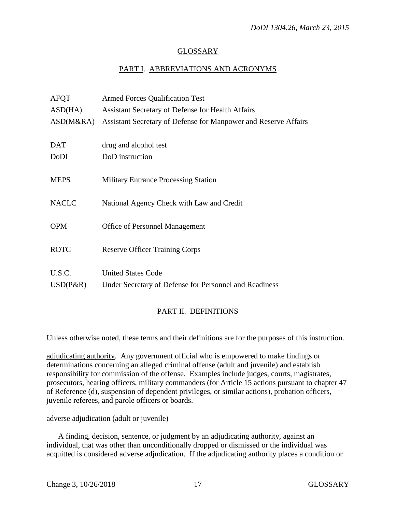## GLOSSARY

## PART I. ABBREVIATIONS AND ACRONYMS

| <b>AFQT</b>  | <b>Armed Forces Qualification Test</b>                          |
|--------------|-----------------------------------------------------------------|
| ASD(HA)      | Assistant Secretary of Defense for Health Affairs               |
| ASD(M&RA)    | Assistant Secretary of Defense for Manpower and Reserve Affairs |
|              |                                                                 |
| <b>DAT</b>   | drug and alcohol test                                           |
| DoDI         | DoD instruction                                                 |
|              |                                                                 |
| <b>MEPS</b>  | <b>Military Entrance Processing Station</b>                     |
|              |                                                                 |
| <b>NACLC</b> | National Agency Check with Law and Credit                       |
|              |                                                                 |
| <b>OPM</b>   | <b>Office of Personnel Management</b>                           |
|              |                                                                 |
| <b>ROTC</b>  | <b>Reserve Officer Training Corps</b>                           |
|              | <b>United States Code</b>                                       |
| U.S.C.       |                                                                 |
| $USD(P\&R)$  | Under Secretary of Defense for Personnel and Readiness          |
|              |                                                                 |

## PART II. DEFINITIONS

Unless otherwise noted, these terms and their definitions are for the purposes of this instruction.

adjudicating authority. Any government official who is empowered to make findings or determinations concerning an alleged criminal offense (adult and juvenile) and establish responsibility for commission of the offense. Examples include judges, courts, magistrates, prosecutors, hearing officers, military commanders (for Article 15 actions pursuant to chapter 47 of Reference (d), suspension of dependent privileges, or similar actions), probation officers, juvenile referees, and parole officers or boards.

#### adverse adjudication (adult or juvenile)

 A finding, decision, sentence, or judgment by an adjudicating authority, against an individual, that was other than unconditionally dropped or dismissed or the individual was acquitted is considered adverse adjudication. If the adjudicating authority places a condition or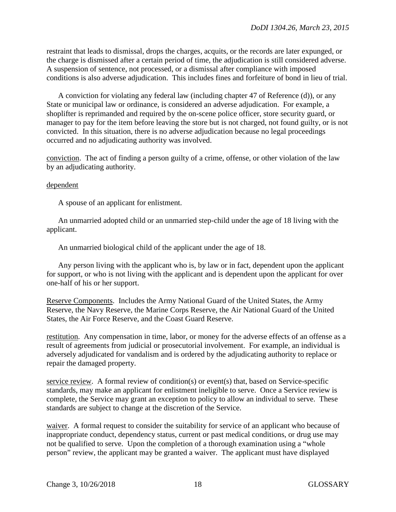restraint that leads to dismissal, drops the charges, acquits, or the records are later expunged, or the charge is dismissed after a certain period of time, the adjudication is still considered adverse. A suspension of sentence, not processed, or a dismissal after compliance with imposed conditions is also adverse adjudication. This includes fines and forfeiture of bond in lieu of trial.

A conviction for violating any federal law (including chapter 47 of Reference (d)), or any State or municipal law or ordinance, is considered an adverse adjudication. For example, a shoplifter is reprimanded and required by the on-scene police officer, store security guard, or manager to pay for the item before leaving the store but is not charged, not found guilty, or is not convicted. In this situation, there is no adverse adjudication because no legal proceedings occurred and no adjudicating authority was involved.

conviction. The act of finding a person guilty of a crime, offense, or other violation of the law by an adjudicating authority.

#### dependent

A spouse of an applicant for enlistment.

An unmarried adopted child or an unmarried step-child under the age of 18 living with the applicant.

An unmarried biological child of the applicant under the age of 18.

Any person living with the applicant who is, by law or in fact, dependent upon the applicant for support, or who is not living with the applicant and is dependent upon the applicant for over one-half of his or her support.

Reserve Components. Includes the Army National Guard of the United States, the Army Reserve, the Navy Reserve, the Marine Corps Reserve, the Air National Guard of the United States, the Air Force Reserve, and the Coast Guard Reserve.

restitution. Any compensation in time, labor, or money for the adverse effects of an offense as a result of agreements from judicial or prosecutorial involvement. For example, an individual is adversely adjudicated for vandalism and is ordered by the adjudicating authority to replace or repair the damaged property.

service review. A formal review of condition(s) or event(s) that, based on Service-specific standards, may make an applicant for enlistment ineligible to serve. Once a Service review is complete, the Service may grant an exception to policy to allow an individual to serve. These standards are subject to change at the discretion of the Service.

waiver. A formal request to consider the suitability for service of an applicant who because of inappropriate conduct, dependency status, current or past medical conditions, or drug use may not be qualified to serve. Upon the completion of a thorough examination using a "whole person" review, the applicant may be granted a waiver. The applicant must have displayed